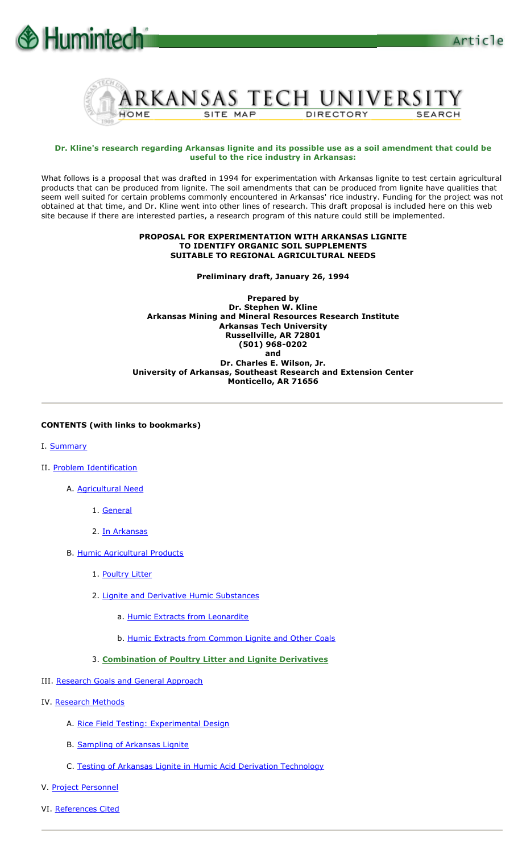



#### **Dr. Kline's research regarding Arkansas lignite and its possible use as a soil amendment that could be useful to the rice industry in Arkansas:**

What follows is a proposal that was drafted in 1994 for experimentation with Arkansas lignite to test certain agricultural products that can be produced from lignite. The soil amendments that can be produced from lignite have qualities that seem well suited for certain problems commonly encountered in Arkansas' rice industry. Funding for the project was not obtained at that time, and Dr. Kline went into other lines of research. This draft proposal is included here on this web site because if there are interested parties, a research program of this nature could still be implemented.

#### **PROPOSAL FOR EXPERIMENTATION WITH ARKANSAS LIGNITE TO IDENTIFY ORGANIC SOIL SUPPLEMENTS SUITABLE TO REGIONAL AGRICULTURAL NEEDS**

**Preliminary draft, January 26, 1994**

**Prepared by Dr. Stephen W. Kline Arkansas Mining and Mineral Resources Research Institute Arkansas Tech University Russellville, AR 72801 (501) 968-0202 and Dr. Charles E. Wilson, Jr. University of Arkansas, Southeast Research and Extension Center** 

**Monticello, AR 71656**

## **CONTENTS (with links to bookmarks)**

- I. Summary
- II. Problem Identification
	- A. Agricultural Need
		- 1. General
		- 2. In Arkansas
	- B. Humic Agricultural Products
		- 1. Poultry Litter
		- 2. Lignite and Derivative Humic Substances
			- a. Humic Extracts from Leonardite
			- b. Humic Extracts from Common Lignite and Other Coals

# 3. **Combination of Poultry Litter and Lignite Derivatives**

- III. Research Goals and General Approach
- IV. Research Methods
	- A. Rice Field Testing: Experimental Design
	- B. Sampling of Arkansas Lignite
	- C. Testing of Arkansas Lignite in Humic Acid Derivation Technology
- V. Project Personnel
- VI. References Cited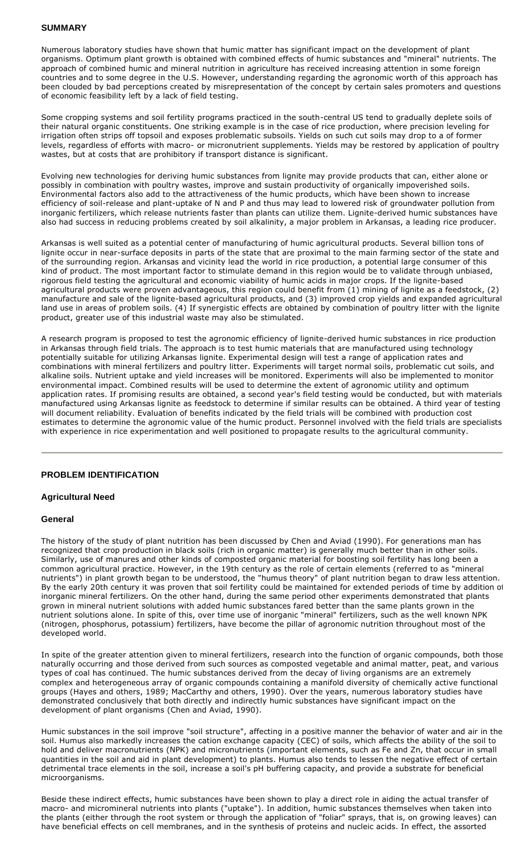## **SUMMARY**

Numerous laboratory studies have shown that humic matter has significant impact on the development of plant organisms. Optimum plant growth is obtained with combined effects of humic substances and "mineral" nutrients. The approach of combined humic and mineral nutrition in agriculture has received increasing attention in some foreign countries and to some degree in the U.S. However, understanding regarding the agronomic worth of this approach has been clouded by bad perceptions created by misrepresentation of the concept by certain sales promoters and questions of economic feasibility left by a lack of field testing.

Some cropping systems and soil fertility programs practiced in the south-central US tend to gradually deplete soils of their natural organic constituents. One striking example is in the case of rice production, where precision leveling for irrigation often strips off topsoil and exposes problematic subsoils. Yields on such cut soils may drop to a of former levels, regardless of efforts with macro- or micronutrient supplements. Yields may be restored by application of poultry wastes, but at costs that are prohibitory if transport distance is significant.

Evolving new technologies for deriving humic substances from lignite may provide products that can, either alone or possibly in combination with poultry wastes, improve and sustain productivity of organically impoverished soils. Environmental factors also add to the attractiveness of the humic products, which have been shown to increase efficiency of soil-release and plant-uptake of N and P and thus may lead to lowered risk of groundwater pollution from inorganic fertilizers, which release nutrients faster than plants can utilize them. Lignite-derived humic substances have also had success in reducing problems created by soil alkalinity, a major problem in Arkansas, a leading rice producer.

Arkansas is well suited as a potential center of manufacturing of humic agricultural products. Several billion tons of lignite occur in near-surface deposits in parts of the state that are proximal to the main farming sector of the state and of the surrounding region. Arkansas and vicinity lead the world in rice production, a potential large consumer of this kind of product. The most important factor to stimulate demand in this region would be to validate through unbiased, rigorous field testing the agricultural and economic viability of humic acids in major crops. If the lignite-based agricultural products were proven advantageous, this region could benefit from (1) mining of lignite as a feedstock, (2) manufacture and sale of the lignite-based agricultural products, and (3) improved crop yields and expanded agricultural land use in areas of problem soils. (4) If synergistic effects are obtained by combination of poultry litter with the lignite product, greater use of this industrial waste may also be stimulated.

A research program is proposed to test the agronomic efficiency of lignite-derived humic substances in rice production in Arkansas through field trials. The approach is to test humic materials that are manufactured using technology potentially suitable for utilizing Arkansas lignite. Experimental design will test a range of application rates and combinations with mineral fertilizers and poultry litter. Experiments will target normal soils, problematic cut soils, and alkaline soils. Nutrient uptake and yield increases will be monitored. Experiments will also be implemented to monitor environmental impact. Combined results will be used to determine the extent of agronomic utility and optimum application rates. If promising results are obtained, a second year's field testing would be conducted, but with materials manufactured using Arkansas lignite as feedstock to determine if similar results can be obtained. A third year of testing will document reliability. Evaluation of benefits indicated by the field trials will be combined with production cost estimates to determine the agronomic value of the humic product. Personnel involved with the field trials are specialists with experience in rice experimentation and well positioned to propagate results to the agricultural community.

# **PROBLEM IDENTIFICATION**

### **Agricultural Need**

### **General**

The history of the study of plant nutrition has been discussed by Chen and Aviad (1990). For generations man has recognized that crop production in black soils (rich in organic matter) is generally much better than in other soils. Similarly, use of manures and other kinds of composted organic material for boosting soil fertility has long been a common agricultural practice. However, in the 19th century as the role of certain elements (referred to as "mineral nutrients") in plant growth began to be understood, the "humus theory" of plant nutrition began to draw less attention. By the early 20th century it was proven that soil fertility could be maintained for extended periods of time by addition of inorganic mineral fertilizers. On the other hand, during the same period other experiments demonstrated that plants grown in mineral nutrient solutions with added humic substances fared better than the same plants grown in the nutrient solutions alone. In spite of this, over time use of inorganic "mineral" fertilizers, such as the well known NPK (nitrogen, phosphorus, potassium) fertilizers, have become the pillar of agronomic nutrition throughout most of the developed world.

In spite of the greater attention given to mineral fertilizers, research into the function of organic compounds, both those naturally occurring and those derived from such sources as composted vegetable and animal matter, peat, and various types of coal has continued. The humic substances derived from the decay of living organisms are an extremely complex and heterogeneous array of organic compounds containing a manifold diversity of chemically active functional groups (Hayes and others, 1989; MacCarthy and others, 1990). Over the years, numerous laboratory studies have demonstrated conclusively that both directly and indirectly humic substances have significant impact on the development of plant organisms (Chen and Aviad, 1990).

Humic substances in the soil improve "soil structure", affecting in a positive manner the behavior of water and air in the soil. Humus also markedly increases the cation exchange capacity (CEC) of soils, which affects the ability of the soil to hold and deliver macronutrients (NPK) and micronutrients (important elements, such as Fe and Zn, that occur in small quantities in the soil and aid in plant development) to plants. Humus also tends to lessen the negative effect of certain detrimental trace elements in the soil, increase a soil's pH buffering capacity, and provide a substrate for beneficial microorganisms.

Beside these indirect effects, humic substances have been shown to play a direct role in aiding the actual transfer of macro- and micromineral nutrients into plants ("uptake"). In addition, humic substances themselves when taken into the plants (either through the root system or through the application of "foliar" sprays, that is, on growing leaves) can have beneficial effects on cell membranes, and in the synthesis of proteins and nucleic acids. In effect, the assorted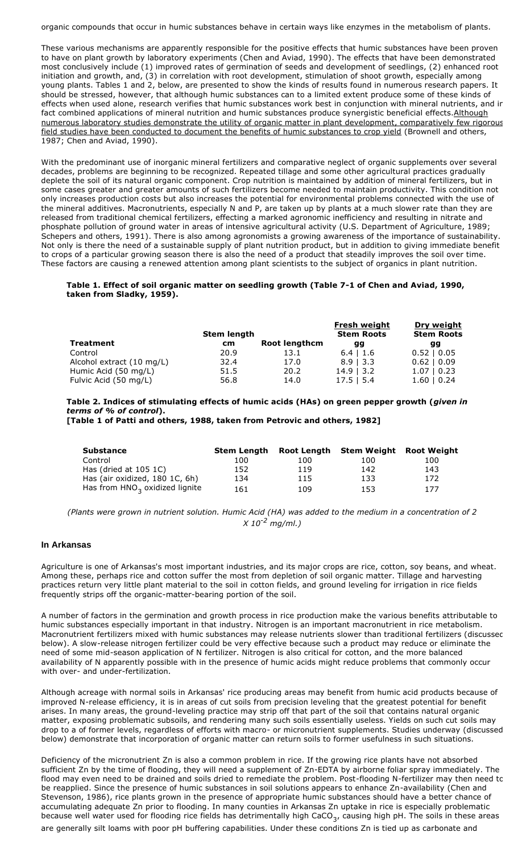organic compounds that occur in humic substances behave in certain ways like enzymes in the metabolism of plants.

These various mechanisms are apparently responsible for the positive effects that humic substances have been proven to have on plant growth by laboratory experiments (Chen and Aviad, 1990). The effects that have been demonstrated most conclusively include (1) improved rates of germination of seeds and development of seedlings, (2) enhanced root initiation and growth, and, (3) in correlation with root development, stimulation of shoot growth, especially among young plants. Tables 1 and 2, below, are presented to show the kinds of results found in numerous research papers. It should be stressed, however, that although humic substances can to a limited extent produce some of these kinds of effects when used alone, research verifies that humic substances work best in conjunction with mineral nutrients, and ir fact combined applications of mineral nutrition and humic substances produce synergistic beneficial effects. Although numerous laboratory studies demonstrate the utility of organic matter in plant development, comparatively few rigorous field studies have been conducted to document the benefits of humic substances to crop yield (Brownell and others, 1987; Chen and Aviad, 1990).

With the predominant use of inorganic mineral fertilizers and comparative neglect of organic supplements over several decades, problems are beginning to be recognized. Repeated tillage and some other agricultural practices gradually deplete the soil of its natural organic component. Crop nutrition is maintained by addition of mineral fertilizers, but in some cases greater and greater amounts of such fertilizers become needed to maintain productivity. This condition not only increases production costs but also increases the potential for environmental problems connected with the use of the mineral additives. Macronutrients, especially N and P, are taken up by plants at a much slower rate than they are released from traditional chemical fertilizers, effecting a marked agronomic inefficiency and resulting in nitrate and phosphate pollution of ground water in areas of intensive agricultural activity (U.S. Department of Agriculture, 1989; Schepers and others, 1991). There is also among agronomists a growing awareness of the importance of sustainability. Not only is there the need of a sustainable supply of plant nutrition product, but in addition to giving immediate benefit to crops of a particular growing season there is also the need of a product that steadily improves the soil over time. These factors are causing a renewed attention among plant scientists to the subject of organics in plant nutrition.

#### **Table 1. Effect of soil organic matter on seedling growth (Table 7-1 of Chen and Aviad, 1990, taken from Sladky, 1959).**

|                           |                    |                      | Fresh weight      | Dry weight        |
|---------------------------|--------------------|----------------------|-------------------|-------------------|
|                           | <b>Stem length</b> |                      | <b>Stem Roots</b> | <b>Stem Roots</b> |
| <b>Treatment</b>          | cm                 | <b>Root lengthcm</b> | gg                | gg                |
| Control                   | 20.9               | 13.1                 | $6.4$   1.6       | $0.52 \mid 0.05$  |
| Alcohol extract (10 mg/L) | 32.4               | 17.0                 | $8.9$   3.3       | $0.62 \mid 0.09$  |
| Humic Acid (50 mg/L)      | 51.5               | 20.2                 | $14.9$   3.2      | $1.07 \mid 0.23$  |
| Fulvic Acid (50 mg/L)     | 56.8               | 14.0                 | $17.5$   5.4      | $1.60 \mid 0.24$  |

**Table 2. Indices of stimulating effects of humic acids (HAs) on green pepper growth (***given in terms of % of control***).**

**[Table 1 of Patti and others, 1988, taken from Petrovic and others, 1982]**

| <b>Substance</b>                           | Stem Length |     | Root Length Stem Weight Root Weight |     |
|--------------------------------------------|-------------|-----|-------------------------------------|-----|
| Control                                    | 100         | 100 | 100                                 | 100 |
| Has (dried at 105 1C)                      | 152         | 119 | 142                                 | 143 |
| Has (air oxidized, 180 1C, 6h)             | 134         | 115 | 133                                 | 172 |
| Has from HNO <sub>3</sub> oxidized lignite | 161         | 109 | 153                                 | 177 |

*(Plants were grown in nutrient solution. Humic Acid (HA) was added to the medium in a concentration of 2 X 10-2 mg/ml.)*

### **In Arkansas**

Agriculture is one of Arkansas's most important industries, and its major crops are rice, cotton, soy beans, and wheat. Among these, perhaps rice and cotton suffer the most from depletion of soil organic matter. Tillage and harvesting practices return very little plant material to the soil in cotton fields, and ground leveling for irrigation in rice fields frequently strips off the organic-matter-bearing portion of the soil.

A number of factors in the germination and growth process in rice production make the various benefits attributable to humic substances especially important in that industry. Nitrogen is an important macronutrient in rice metabolism. Macronutrient fertilizers mixed with humic substances may release nutrients slower than traditional fertilizers (discussec below). A slow-release nitrogen fertilizer could be very effective because such a product may reduce or eliminate the need of some mid-season application of N fertilizer. Nitrogen is also critical for cotton, and the more balanced availability of N apparently possible with in the presence of humic acids might reduce problems that commonly occur with over- and under-fertilization.

Although acreage with normal soils in Arkansas' rice producing areas may benefit from humic acid products because of improved N-release efficiency, it is in areas of cut soils from precision leveling that the greatest potential for benefit arises. In many areas, the ground-leveling practice may strip off that part of the soil that contains natural organic matter, exposing problematic subsoils, and rendering many such soils essentially useless. Yields on such cut soils may drop to a of former levels, regardless of efforts with macro- or micronutrient supplements. Studies underway (discussed below) demonstrate that incorporation of organic matter can return soils to former usefulness in such situations.

Deficiency of the micronutrient Zn is also a common problem in rice. If the growing rice plants have not absorbed sufficient Zn by the time of flooding, they will need a supplement of Zn-EDTA by airborne foliar spray immediately. The flood may even need to be drained and soils dried to remediate the problem. Post-flooding N-fertilizer may then need to be reapplied. Since the presence of humic substances in soil solutions appears to enhance Zn-availability (Chen and Stevenson, 1986), rice plants grown in the presence of appropriate humic substances should have a better chance of accumulating adequate Zn prior to flooding. In many counties in Arkansas Zn uptake in rice is especially problematic because well water used for flooding rice fields has detrimentally high CaCO<sub>3</sub>, causing high pH. The soils in these areas are generally silt loams with poor pH buffering capabilities. Under these conditions Zn is tied up as carbonate and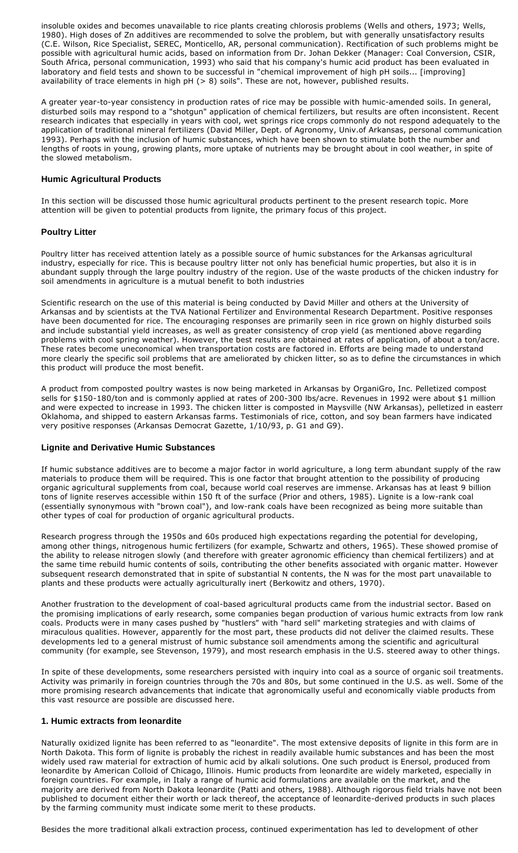insoluble oxides and becomes unavailable to rice plants creating chlorosis problems (Wells and others, 1973; Wells, 1980). High doses of Zn additives are recommended to solve the problem, but with generally unsatisfactory results (C.E. Wilson, Rice Specialist, SEREC, Monticello, AR, personal communication). Rectification of such problems might be possible with agricultural humic acids, based on information from Dr. Johan Dekker (Manager: Coal Conversion, CSIR, South Africa, personal communication, 1993) who said that his company's humic acid product has been evaluated in laboratory and field tests and shown to be successful in "chemical improvement of high pH soils... [improving] availability of trace elements in high pH (> 8) soils". These are not, however, published results.

A greater year-to-year consistency in production rates of rice may be possible with humic-amended soils. In general, disturbed soils may respond to a "shotgun" application of chemical fertilizers, but results are often inconsistent. Recent research indicates that especially in years with cool, wet springs rice crops commonly do not respond adequately to the application of traditional mineral fertilizers (David Miller, Dept. of Agronomy, Univ.of Arkansas, personal communication, 1993). Perhaps with the inclusion of humic substances, which have been shown to stimulate both the number and lengths of roots in young, growing plants, more uptake of nutrients may be brought about in cool weather, in spite of the slowed metabolism.

## **Humic Agricultural Products**

In this section will be discussed those humic agricultural products pertinent to the present research topic. More attention will be given to potential products from lignite, the primary focus of this project.

## **Poultry Litter**

Poultry litter has received attention lately as a possible source of humic substances for the Arkansas agricultural industry, especially for rice. This is because poultry litter not only has beneficial humic properties, but also it is in abundant supply through the large poultry industry of the region. Use of the waste products of the chicken industry for soil amendments in agriculture is a mutual benefit to both industries

Scientific research on the use of this material is being conducted by David Miller and others at the University of Arkansas and by scientists at the TVA National Fertilizer and Environmental Research Department. Positive responses have been documented for rice. The encouraging responses are primarily seen in rice grown on highly disturbed soils and include substantial yield increases, as well as greater consistency of crop yield (as mentioned above regarding problems with cool spring weather). However, the best results are obtained at rates of application, of about a ton/acre. These rates become uneconomical when transportation costs are factored in. Efforts are being made to understand more clearly the specific soil problems that are ameliorated by chicken litter, so as to define the circumstances in which this product will produce the most benefit.

A product from composted poultry wastes is now being marketed in Arkansas by OrganiGro, Inc. Pelletized compost sells for \$150-180/ton and is commonly applied at rates of 200-300 lbs/acre. Revenues in 1992 were about \$1 million and were expected to increase in 1993. The chicken litter is composted in Maysville (NW Arkansas), pelletized in easterr Oklahoma, and shipped to eastern Arkansas farms. Testimonials of rice, cotton, and soy bean farmers have indicated very positive responses (Arkansas Democrat Gazette, 1/10/93, p. G1 and G9).

### **Lignite and Derivative Humic Substances**

If humic substance additives are to become a major factor in world agriculture, a long term abundant supply of the raw materials to produce them will be required. This is one factor that brought attention to the possibility of producing organic agricultural supplements from coal, because world coal reserves are immense. Arkansas has at least 9 billion tons of lignite reserves accessible within 150 ft of the surface (Prior and others, 1985). Lignite is a low-rank coal (essentially synonymous with "brown coal"), and low-rank coals have been recognized as being more suitable than other types of coal for production of organic agricultural products.

Research progress through the 1950s and 60s produced high expectations regarding the potential for developing, among other things, nitrogenous humic fertilizers (for example, Schwartz and others, 1965). These showed promise of the ability to release nitrogen slowly (and therefore with greater agronomic efficiency than chemical fertilizers) and at the same time rebuild humic contents of soils, contributing the other benefits associated with organic matter. However subsequent research demonstrated that in spite of substantial N contents, the N was for the most part unavailable to plants and these products were actually agriculturally inert (Berkowitz and others, 1970).

Another frustration to the development of coal-based agricultural products came from the industrial sector. Based on the promising implications of early research, some companies began production of various humic extracts from low rank coals. Products were in many cases pushed by "hustlers" with "hard sell" marketing strategies and with claims of miraculous qualities. However, apparently for the most part, these products did not deliver the claimed results. These developments led to a general mistrust of humic substance soil amendments among the scientific and agricultural community (for example, see Stevenson, 1979), and most research emphasis in the U.S. steered away to other things.

In spite of these developments, some researchers persisted with inquiry into coal as a source of organic soil treatments. Activity was primarily in foreign countries through the 70s and 80s, but some continued in the U.S. as well. Some of the more promising research advancements that indicate that agronomically useful and economically viable products from this vast resource are possible are discussed here.

### **1. Humic extracts from leonardite**

Naturally oxidized lignite has been referred to as "leonardite". The most extensive deposits of lignite in this form are in North Dakota. This form of lignite is probably the richest in readily available humic substances and has been the most widely used raw material for extraction of humic acid by alkali solutions. One such product is Enersol, produced from leonardite by American Colloid of Chicago, Illinois. Humic products from leonardite are widely marketed, especially in foreign countries. For example, in Italy a range of humic acid formulations are available on the market, and the majority are derived from North Dakota leonardite (Patti and others, 1988). Although rigorous field trials have not been published to document either their worth or lack thereof, the acceptance of leonardite-derived products in such places by the farming community must indicate some merit to these products.

Besides the more traditional alkali extraction process, continued experimentation has led to development of other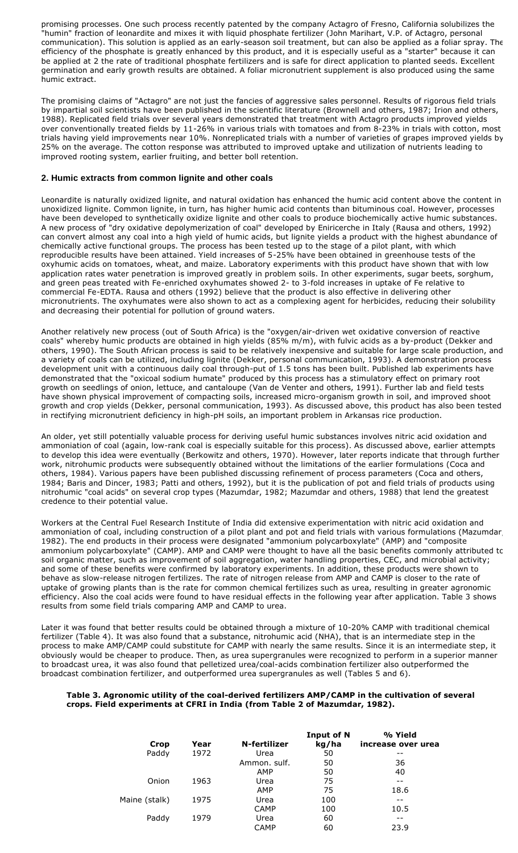promising processes. One such process recently patented by the company Actagro of Fresno, California solubilizes the "humin" fraction of leonardite and mixes it with liquid phosphate fertilizer (John Marihart, V.P. of Actagro, personal communication). This solution is applied as an early-season soil treatment, but can also be applied as a foliar spray. The efficiency of the phosphate is greatly enhanced by this product, and it is especially useful as a "starter" because it can be applied at 2 the rate of traditional phosphate fertilizers and is safe for direct application to planted seeds. Excellent germination and early growth results are obtained. A foliar micronutrient supplement is also produced using the same humic extract.

The promising claims of "Actagro" are not just the fancies of aggressive sales personnel. Results of rigorous field trials by impartial soil scientists have been published in the scientific literature (Brownell and others, 1987; Irion and others, 1988). Replicated field trials over several years demonstrated that treatment with Actagro products improved yields over conventionally treated fields by 11-26% in various trials with tomatoes and from 8-23% in trials with cotton, most trials having yield improvements near 10%. Nonreplicated trials with a number of varieties of grapes improved yields by 25% on the average. The cotton response was attributed to improved uptake and utilization of nutrients leading to improved rooting system, earlier fruiting, and better boll retention.

# **2. Humic extracts from common lignite and other coals**

Leonardite is naturally oxidized lignite, and natural oxidation has enhanced the humic acid content above the content in unoxidized lignite. Common lignite, in turn, has higher humic acid contents than bituminous coal. However, processes have been developed to synthetically oxidize lignite and other coals to produce biochemically active humic substances. A new process of "dry oxidative depolymerization of coal" developed by Eniricerche in Italy (Rausa and others, 1992) can convert almost any coal into a high yield of humic acids, but lignite yields a product with the highest abundance of chemically active functional groups. The process has been tested up to the stage of a pilot plant, with which reproducible results have been attained. Yield increases of 5-25% have been obtained in greenhouse tests of the oxyhumic acids on tomatoes, wheat, and maize. Laboratory experiments with this product have shown that with low application rates water penetration is improved greatly in problem soils. In other experiments, sugar beets, sorghum, and green peas treated with Fe-enriched oxyhumates showed 2- to 3-fold increases in uptake of Fe relative to commercial Fe-EDTA. Rausa and others (1992) believe that the product is also effective in delivering other micronutrients. The oxyhumates were also shown to act as a complexing agent for herbicides, reducing their solubility and decreasing their potential for pollution of ground waters.

Another relatively new process (out of South Africa) is the "oxygen/air-driven wet oxidative conversion of reactive coals" whereby humic products are obtained in high yields (85% m/m), with fulvic acids as a by-product (Dekker and others, 1990). The South African process is said to be relatively inexpensive and suitable for large scale production, and a variety of coals can be utilized, including lignite (Dekker, personal communication, 1993). A demonstration process development unit with a continuous daily coal through-put of 1.5 tons has been built. Published lab experiments have demonstrated that the "oxicoal sodium humate" produced by this process has a stimulatory effect on primary root growth on seedlings of onion, lettuce, and cantaloupe (Van de Venter and others, 1991). Further lab and field tests have shown physical improvement of compacting soils, increased micro-organism growth in soil, and improved shoot growth and crop yields (Dekker, personal communication, 1993). As discussed above, this product has also been tested in rectifying micronutrient deficiency in high-pH soils, an important problem in Arkansas rice production.

An older, yet still potentially valuable process for deriving useful humic substances involves nitric acid oxidation and ammoniation of coal (again, low-rank coal is especially suitable for this process). As discussed above, earlier attempts to develop this idea were eventually (Berkowitz and others, 1970). However, later reports indicate that through further work, nitrohumic products were subsequently obtained without the limitations of the earlier formulations (Coca and others, 1984). Various papers have been published discussing refinement of process parameters (Coca and others, 1984; Baris and Dincer, 1983; Patti and others, 1992), but it is the publication of pot and field trials of products using nitrohumic "coal acids" on several crop types (Mazumdar, 1982; Mazumdar and others, 1988) that lend the greatest credence to their potential value.

Workers at the Central Fuel Research Institute of India did extensive experimentation with nitric acid oxidation and ammoniation of coal, including construction of a pilot plant and pot and field trials with various formulations (Mazumdar, 1982). The end products in their process were designated "ammonium polycarboxylate" (AMP) and "composite ammonium polycarboxylate" (CAMP). AMP and CAMP were thought to have all the basic benefits commonly attributed to soil organic matter, such as improvement of soil aggregation, water handling properties, CEC, and microbial activity; and some of these benefits were confirmed by laboratory experiments. In addition, these products were shown to behave as slow-release nitrogen fertilizes. The rate of nitrogen release from AMP and CAMP is closer to the rate of uptake of growing plants than is the rate for common chemical fertilizes such as urea, resulting in greater agronomic efficiency. Also the coal acids were found to have residual effects in the following year after application. Table 3 shows results from some field trials comparing AMP and CAMP to urea.

Later it was found that better results could be obtained through a mixture of 10-20% CAMP with traditional chemical fertilizer (Table 4). It was also found that a substance, nitrohumic acid (NHA), that is an intermediate step in the process to make AMP/CAMP could substitute for CAMP with nearly the same results. Since it is an intermediate step, it obviously would be cheaper to produce. Then, as urea supergranules were recognized to perform in a superior manner to broadcast urea, it was also found that pelletized urea/coal-acids combination fertilizer also outperformed the broadcast combination fertilizer, and outperformed urea supergranules as well (Tables 5 and 6).

### **Table 3. Agronomic utility of the coal-derived fertilizers AMP/CAMP in the cultivation of several crops. Field experiments at CFRI in India (from Table 2 of Mazumdar, 1982).**

|               |      |              | <b>Input of N</b> | % Yield            |
|---------------|------|--------------|-------------------|--------------------|
| <b>Crop</b>   | Year | N-fertilizer | kg/ha             | increase over urea |
| Paddy         | 1972 | Urea         | 50                | --                 |
|               |      | Ammon, sulf. | 50                | 36                 |
|               |      | AMP          | 50                | 40                 |
| Onion         | 1963 | Urea         | 75                | --                 |
|               |      | AMP          | 75                | 18.6               |
| Maine (stalk) | 1975 | Urea         | 100               | --                 |
|               |      | <b>CAMP</b>  | 100               | 10.5               |
| Paddy         | 1979 | Urea         | 60                | --                 |
|               |      | CAMP         | 60                | 23.9               |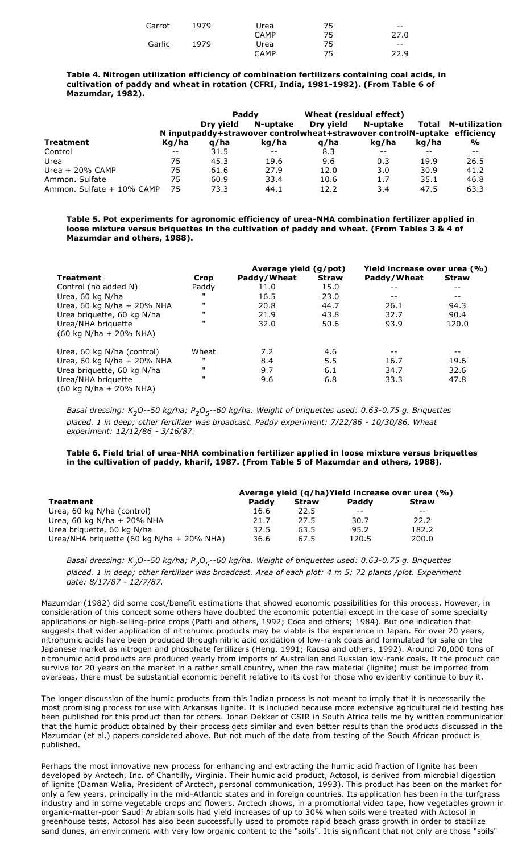| Carrot | 1979 | Urea        | 75 | $- -$ |
|--------|------|-------------|----|-------|
|        |      | <b>CAMP</b> | 75 | 27.0  |
| Garlic | 1979 | Urea        | 75 | $- -$ |
|        |      | <b>CAMP</b> | 75 | 22.9  |

**Table 4. Nitrogen utilization efficiency of combination fertilizers containing coal acids, in cultivation of paddy and wheat in rotation (CFRI, India, 1981-1982). (From Table 6 of Mazumdar, 1982).**

|                           | Paddy |           | Wheat (residual effect) |                                                                          |          |       |                     |
|---------------------------|-------|-----------|-------------------------|--------------------------------------------------------------------------|----------|-------|---------------------|
|                           |       | Drv vield | N-uptake                | Dry yield                                                                | N-uptake |       | Total N-utilization |
|                           |       |           |                         | N inputpaddy+strawover controlwheat+strawover controlN-uptake efficiency |          |       |                     |
| Treatment                 | Kg/ha | g/ha      | kg/ha                   | g/ha                                                                     | ka/ha    | kg/ha | %                   |
| Control                   | $- -$ | 31.5      | $- -$                   | 8.3                                                                      | $- -$    | $- -$ | $- -$               |
| Urea                      | 75    | 45.3      | 19.6                    | 9.6                                                                      | 0.3      | 19.9  | 26.5                |
| Urea + 20% CAMP           | 75    | 61.6      | 27.9                    | 12.0                                                                     | 3.0      | 30.9  | 41.2                |
| Ammon, Sulfate            | 75    | 60.9      | 33.4                    | 10.6                                                                     | 1.7      | 35.1  | 46.8                |
| Ammon, Sulfate + 10% CAMP | 75    | 73.3      | 44.1                    | 12.2                                                                     | 3.4      | 47.5  | 63.3                |

**Table 5. Pot experiments for agronomic efficiency of urea-NHA combination fertilizer applied in loose mixture versus briquettes in the cultivation of paddy and wheat. (From Tables 3 & 4 of Mazumdar and others, 1988).**

|                                           |              | Average yield (g/pot) |              | Yield increase over urea (%) |              |
|-------------------------------------------|--------------|-----------------------|--------------|------------------------------|--------------|
| <b>Treatment</b>                          | Crop         | Paddy/Wheat           | <b>Straw</b> | Paddy/Wheat                  | <b>Straw</b> |
| Control (no added N)                      | Paddy        | 11.0                  | 15.0         | $ -$                         | $- -$        |
| Urea, 60 kg N/ha                          | $\mathbf{u}$ | 16.5                  | 23.0         | $- -$                        | $- -$        |
| Urea, 60 kg N/ha + 20% NHA                | $\mathbf{H}$ | 20.8                  | 44.7         | 26.1                         | 94.3         |
| Urea briquette, 60 kg N/ha                | $\mathbf{H}$ | 21.9                  | 43.8         | 32.7                         | 90.4         |
| Urea/NHA briguette                        | $\mathbf{H}$ | 32.0                  | 50.6         | 93.9                         | 120.0        |
| $(60 \text{ kg N/ha} + 20\% \text{ NHA})$ |              |                       |              |                              |              |
| Urea, 60 kg N/ha (control)                | Wheat        | 7.2                   | 4.6          | $- -$                        | $- -$        |
| Urea, 60 kg N/ha $+$ 20% NHA              | ш            | 8.4                   | 5.5          | 16.7                         | 19.6         |
| Urea briguette, 60 kg N/ha                | $\mathbf{H}$ | 9.7                   | 6.1          | 34.7                         | 32.6         |
| Urea/NHA briguette                        | $\mathbf{H}$ | 9.6                   | 6.8          | 33.3                         | 47.8         |
| $(60 \text{ kg N/ha} + 20\% \text{ NHA})$ |              |                       |              |                              |              |

*Basal dressing: K<sup>2</sup> O--50 kg/ha; P<sup>2</sup> O5 --60 kg/ha. Weight of briquettes used: 0.63-0.75 g. Briquettes placed. 1 in deep; other fertilizer was broadcast. Paddy experiment: 7/22/86 - 10/30/86. Wheat experiment: 12/12/86 - 3/16/87.*

**Table 6. Field trial of urea-NHA combination fertilizer applied in loose mixture versus briquettes in the cultivation of paddy, kharif, 1987. (From Table 5 of Mazumdar and others, 1988).**

|                                           | Average yield (q/ha) Yield increase over urea (%) |              |       |              |
|-------------------------------------------|---------------------------------------------------|--------------|-------|--------------|
| <b>Treatment</b>                          | Paddy                                             | <b>Straw</b> | Paddy | <b>Straw</b> |
| Urea, 60 kg N/ha (control)                | 16.6                                              | 22.5         | $- -$ | $- -$        |
| Urea, 60 kg N/ha + 20% NHA                | 21.7                                              | 27.5         | 30.7  | 22.2         |
| Urea briguette, 60 kg N/ha                | 32.5                                              | 63.5         | 95.2  | 182.2        |
| Urea/NHA briquette (60 kg N/ha + 20% NHA) | 36.6                                              | 67.5         | 120.5 | 200.0        |

*Basal dressing: K<sup>2</sup> O--50 kg/ha; P<sup>2</sup> O5 --60 kg/ha. Weight of briquettes used: 0.63-0.75 g. Briquettes placed. 1 in deep; other fertilizer was broadcast. Area of each plot: 4 m 5; 72 plants /plot. Experiment date: 8/17/87 - 12/7/87.*

Mazumdar (1982) did some cost/benefit estimations that showed economic possibilities for this process. However, in consideration of this concept some others have doubted the economic potential except in the case of some specialty applications or high-selling-price crops (Patti and others, 1992; Coca and others; 1984). But one indication that suggests that wider application of nitrohumic products may be viable is the experience in Japan. For over 20 years, nitrohumic acids have been produced through nitric acid oxidation of low-rank coals and formulated for sale on the Japanese market as nitrogen and phosphate fertilizers (Heng, 1991; Rausa and others, 1992). Around 70,000 tons of nitrohumic acid products are produced yearly from imports of Australian and Russian low-rank coals. If the product can survive for 20 years on the market in a rather small country, when the raw material (lignite) must be imported from overseas, there must be substantial economic benefit relative to its cost for those who evidently continue to buy it.

The longer discussion of the humic products from this Indian process is not meant to imply that it is necessarily the most promising process for use with Arkansas lignite. It is included because more extensive agricultural field testing has been published for this product than for others. Johan Dekker of CSIR in South Africa tells me by written communication that the humic product obtained by their process gets similar and even better results than the products discussed in the Mazumdar (et al.) papers considered above. But not much of the data from testing of the South African product is published.

Perhaps the most innovative new process for enhancing and extracting the humic acid fraction of lignite has been developed by Arctech, Inc. of Chantilly, Virginia. Their humic acid product, Actosol, is derived from microbial digestion of lignite (Daman Walia, President of Arctech, personal communication, 1993). This product has been on the market for only a few years, principally in the mid-Atlantic states and in foreign countries. Its application has been in the turfgrass industry and in some vegetable crops and flowers. Arctech shows, in a promotional video tape, how vegetables grown in organic-matter-poor Saudi Arabian soils had yield increases of up to 30% when soils were treated with Actosol in greenhouse tests. Actosol has also been successfully used to promote rapid beach grass growth in order to stabilize sand dunes, an environment with very low organic content to the "soils". It is significant that not only are those "soils"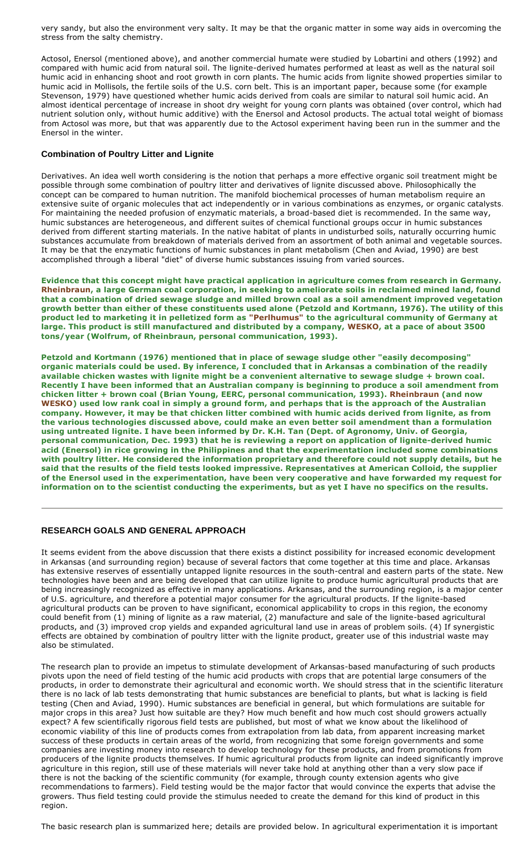very sandy, but also the environment very salty. It may be that the organic matter in some way aids in overcoming the stress from the salty chemistry.

Actosol, Enersol (mentioned above), and another commercial humate were studied by Lobartini and others (1992) and compared with humic acid from natural soil. The lignite-derived humates performed at least as well as the natural soil humic acid in enhancing shoot and root growth in corn plants. The humic acids from lignite showed properties similar to humic acid in Mollisols, the fertile soils of the U.S. corn belt. This is an important paper, because some (for example Stevenson, 1979) have questioned whether humic acids derived from coals are similar to natural soil humic acid. An almost identical percentage of increase in shoot dry weight for young corn plants was obtained (over control, which had nutrient solution only, without humic additive) with the Enersol and Actosol products. The actual total weight of biomass from Actosol was more, but that was apparently due to the Actosol experiment having been run in the summer and the Enersol in the winter.

# **Combination of Poultry Litter and Lignite**

Derivatives. An idea well worth considering is the notion that perhaps a more effective organic soil treatment might be possible through some combination of poultry litter and derivatives of lignite discussed above. Philosophically the concept can be compared to human nutrition. The manifold biochemical processes of human metabolism require an extensive suite of organic molecules that act independently or in various combinations as enzymes, or organic catalysts. For maintaining the needed profusion of enzymatic materials, a broad-based diet is recommended. In the same way, humic substances are heterogeneous, and different suites of chemical functional groups occur in humic substances derived from different starting materials. In the native habitat of plants in undisturbed soils, naturally occurring humic substances accumulate from breakdown of materials derived from an assortment of both animal and vegetable sources. It may be that the enzymatic functions of humic substances in plant metabolism (Chen and Aviad, 1990) are best accomplished through a liberal "diet" of diverse humic substances issuing from varied sources.

**Evidence that this concept might have practical application in agriculture comes from research in Germany. Rheinbraun, a large German coal corporation, in seeking to ameliorate soils in reclaimed mined land, found that a combination of dried sewage sludge and milled brown coal as a soil amendment improved vegetation growth better than either of these constituents used alone (Petzold and Kortmann, 1976). The utility of this product led to marketing it in pelletized form as "Perlhumus" to the agricultural community of Germany at large. This product is still manufactured and distributed by a company, WESKO, at a pace of about 3500 tons/year (Wolfrum, of Rheinbraun, personal communication, 1993).**

**Petzold and Kortmann (1976) mentioned that in place of sewage sludge other "easily decomposing" organic materials could be used. By inference, I concluded that in Arkansas a combination of the readily available chicken wastes with lignite might be a convenient alternative to sewage sludge + brown coal. Recently I have been informed that an Australian company is beginning to produce a soil amendment from chicken litter + brown coal (Brian Young, EERC, personal communication, 1993). Rheinbraun (and now WESKO) used low rank coal in simply a ground form, and perhaps that is the approach of the Australian company. However, it may be that chicken litter combined with humic acids derived from lignite, as from the various technologies discussed above, could make an even better soil amendment than a formulation using untreated lignite. I have been informed by Dr. K.H. Tan (Dept. of Agronomy, Univ. of Georgia, personal communication, Dec. 1993) that he is reviewing a report on application of lignite-derived humic acid (Enersol) in rice growing in the Philippines and that the experimentation included some combinations with poultry litter. He considered the information proprietary and therefore could not supply details, but he said that the results of the field tests looked impressive. Representatives at American Colloid, the supplier of the Enersol used in the experimentation, have been very cooperative and have forwarded my request for information on to the scientist conducting the experiments, but as yet I have no specifics on the results.**

### **RESEARCH GOALS AND GENERAL APPROACH**

It seems evident from the above discussion that there exists a distinct possibility for increased economic development in Arkansas (and surrounding region) because of several factors that come together at this time and place. Arkansas has extensive reserves of essentially untapped lignite resources in the south-central and eastern parts of the state. New technologies have been and are being developed that can utilize lignite to produce humic agricultural products that are being increasingly recognized as effective in many applications. Arkansas, and the surrounding region, is a major center of U.S. agriculture, and therefore a potential major consumer for the agricultural products. If the lignite-based agricultural products can be proven to have significant, economical applicability to crops in this region, the economy could benefit from (1) mining of lignite as a raw material, (2) manufacture and sale of the lignite-based agricultural products, and (3) improved crop yields and expanded agricultural land use in areas of problem soils. (4) If synergistic effects are obtained by combination of poultry litter with the lignite product, greater use of this industrial waste may also be stimulated.

The research plan to provide an impetus to stimulate development of Arkansas-based manufacturing of such products pivots upon the need of field testing of the humic acid products with crops that are potential large consumers of the products, in order to demonstrate their agricultural and economic worth. We should stress that in the scientific literature there is no lack of lab tests demonstrating that humic substances are beneficial to plants, but what is lacking is field testing (Chen and Aviad, 1990). Humic substances are beneficial in general, but which formulations are suitable for major crops in this area? Just how suitable are they? How much benefit and how much cost should growers actually expect? A few scientifically rigorous field tests are published, but most of what we know about the likelihood of economic viability of this line of products comes from extrapolation from lab data, from apparent increasing market success of these products in certain areas of the world, from recognizing that some foreign governments and some companies are investing money into research to develop technology for these products, and from promotions from producers of the lignite products themselves. If humic agricultural products from lignite can indeed significantly improve agriculture in this region, still use of these materials will never take hold at anything other than a very slow pace if there is not the backing of the scientific community (for example, through county extension agents who give recommendations to farmers). Field testing would be the major factor that would convince the experts that advise the growers. Thus field testing could provide the stimulus needed to create the demand for this kind of product in this region.

The basic research plan is summarized here; details are provided below. In agricultural experimentation it is important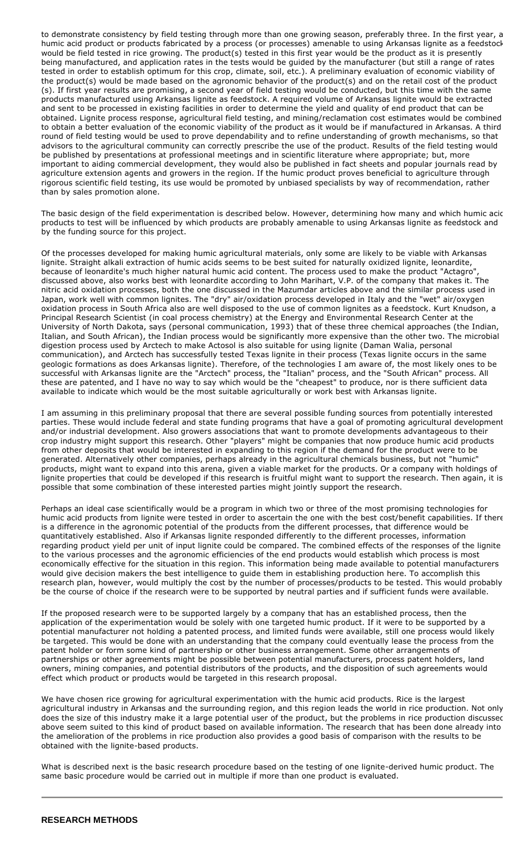to demonstrate consistency by field testing through more than one growing season, preferably three. In the first year, a humic acid product or products fabricated by a process (or processes) amenable to using Arkansas lignite as a feedstock would be field tested in rice growing. The product(s) tested in this first year would be the product as it is presently being manufactured, and application rates in the tests would be guided by the manufacturer (but still a range of rates tested in order to establish optimum for this crop, climate, soil, etc.). A preliminary evaluation of economic viability of the product(s) would be made based on the agronomic behavior of the product(s) and on the retail cost of the product (s). If first year results are promising, a second year of field testing would be conducted, but this time with the same products manufactured using Arkansas lignite as feedstock. A required volume of Arkansas lignite would be extracted and sent to be processed in existing facilities in order to determine the yield and quality of end product that can be obtained. Lignite process response, agricultural field testing, and mining/reclamation cost estimates would be combined to obtain a better evaluation of the economic viability of the product as it would be if manufactured in Arkansas. A third round of field testing would be used to prove dependability and to refine understanding of growth mechanisms, so that advisors to the agricultural community can correctly prescribe the use of the product. Results of the field testing would be published by presentations at professional meetings and in scientific literature where appropriate; but, more important to aiding commercial development, they would also be published in fact sheets and popular journals read by agriculture extension agents and growers in the region. If the humic product proves beneficial to agriculture through rigorous scientific field testing, its use would be promoted by unbiased specialists by way of recommendation, rather than by sales promotion alone.

The basic design of the field experimentation is described below. However, determining how many and which humic acid products to test will be influenced by which products are probably amenable to using Arkansas lignite as feedstock and by the funding source for this project.

Of the processes developed for making humic agricultural materials, only some are likely to be viable with Arkansas lignite. Straight alkali extraction of humic acids seems to be best suited for naturally oxidized lignite, leonardite, because of leonardite's much higher natural humic acid content. The process used to make the product "Actagro", discussed above, also works best with leonardite according to John Marihart, V.P. of the company that makes it. The nitric acid oxidation processes, both the one discussed in the Mazumdar articles above and the similar process used in Japan, work well with common lignites. The "dry" air/oxidation process developed in Italy and the "wet" air/oxygen oxidation process in South Africa also are well disposed to the use of common lignites as a feedstock. Kurt Knudson, a Principal Research Scientist (in coal process chemistry) at the Energy and Environmental Research Center at the University of North Dakota, says (personal communication, 1993) that of these three chemical approaches (the Indian, Italian, and South African), the Indian process would be significantly more expensive than the other two. The microbial digestion process used by Arctech to make Actosol is also suitable for using lignite (Daman Walia, personal communication), and Arctech has successfully tested Texas lignite in their process (Texas lignite occurs in the same geologic formations as does Arkansas lignite). Therefore, of the technologies I am aware of, the most likely ones to be successful with Arkansas lignite are the "Arctech" process, the "Italian" process, and the "South African" process. All these are patented, and I have no way to say which would be the "cheapest" to produce, nor is there sufficient data available to indicate which would be the most suitable agriculturally or work best with Arkansas lignite.

I am assuming in this preliminary proposal that there are several possible funding sources from potentially interested parties. These would include federal and state funding programs that have a goal of promoting agricultural development and/or industrial development. Also growers associations that want to promote developments advantageous to their crop industry might support this research. Other "players" might be companies that now produce humic acid products from other deposits that would be interested in expanding to this region if the demand for the product were to be generated. Alternatively other companies, perhaps already in the agricultural chemicals business, but not "humic" products, might want to expand into this arena, given a viable market for the products. Or a company with holdings of lignite properties that could be developed if this research is fruitful might want to support the research. Then again, it is possible that some combination of these interested parties might jointly support the research.

Perhaps an ideal case scientifically would be a program in which two or three of the most promising technologies for humic acid products from lignite were tested in order to ascertain the one with the best cost/benefit capabilities. If there is a difference in the agronomic potential of the products from the different processes, that difference would be quantitatively established. Also if Arkansas lignite responded differently to the different processes, information regarding product yield per unit of input lignite could be compared. The combined effects of the responses of the lignite to the various processes and the agronomic efficiencies of the end products would establish which process is most economically effective for the situation in this region. This information being made available to potential manufacturers would give decision makers the best intelligence to guide them in establishing production here. To accomplish this research plan, however, would multiply the cost by the number of processes/products to be tested. This would probably be the course of choice if the research were to be supported by neutral parties and if sufficient funds were available.

If the proposed research were to be supported largely by a company that has an established process, then the application of the experimentation would be solely with one targeted humic product. If it were to be supported by a potential manufacturer not holding a patented process, and limited funds were available, still one process would likely be targeted. This would be done with an understanding that the company could eventually lease the process from the patent holder or form some kind of partnership or other business arrangement. Some other arrangements of partnerships or other agreements might be possible between potential manufacturers, process patent holders, land owners, mining companies, and potential distributors of the products, and the disposition of such agreements would effect which product or products would be targeted in this research proposal.

We have chosen rice growing for agricultural experimentation with the humic acid products. Rice is the largest agricultural industry in Arkansas and the surrounding region, and this region leads the world in rice production. Not only does the size of this industry make it a large potential user of the product, but the problems in rice production discussec above seem suited to this kind of product based on available information. The research that has been done already into the amelioration of the problems in rice production also provides a good basis of comparison with the results to be obtained with the lignite-based products.

What is described next is the basic research procedure based on the testing of one lignite-derived humic product. The same basic procedure would be carried out in multiple if more than one product is evaluated.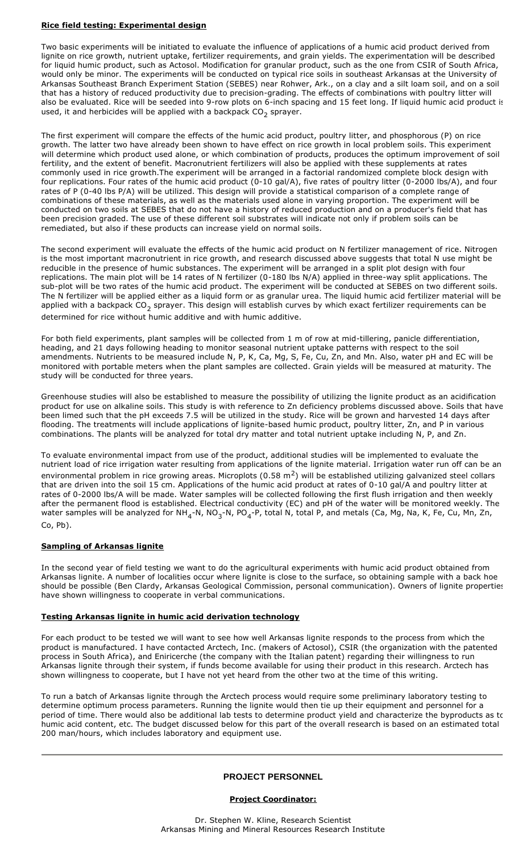## **Rice field testing: Experimental design**

Two basic experiments will be initiated to evaluate the influence of applications of a humic acid product derived from lignite on rice growth, nutrient uptake, fertilizer requirements, and grain yields. The experimentation will be described for liquid humic product, such as Actosol. Modification for granular product, such as the one from CSIR of South Africa, would only be minor. The experiments will be conducted on typical rice soils in southeast Arkansas at the University of Arkansas Southeast Branch Experiment Station (SEBES) near Rohwer, Ark., on a clay and a silt loam soil, and on a soil that has a history of reduced productivity due to precision-grading. The effects of combinations with poultry litter will also be evaluated. Rice will be seeded into 9-row plots on 6-inch spacing and 15 feet long. If liquid humic acid product is used, it and herbicides will be applied with a backpack  $\mathrm{CO}_2^{}$  sprayer.

The first experiment will compare the effects of the humic acid product, poultry litter, and phosphorous (P) on rice growth. The latter two have already been shown to have effect on rice growth in local problem soils. This experiment will determine which product used alone, or which combination of products, produces the optimum improvement of soil fertility, and the extent of benefit. Macronutrient fertilizers will also be applied with these supplements at rates commonly used in rice growth.The experiment will be arranged in a factorial randomized complete block design with four replications. Four rates of the humic acid product (0-10 gal/A), five rates of poultry litter (0-2000 lbs/A), and four rates of P (0-40 lbs P/A) will be utilized. This design will provide a statistical comparison of a complete range of combinations of these materials, as well as the materials used alone in varying proportion. The experiment will be conducted on two soils at SEBES that do not have a history of reduced production and on a producer's field that has been precision graded. The use of these different soil substrates will indicate not only if problem soils can be remediated, but also if these products can increase yield on normal soils.

The second experiment will evaluate the effects of the humic acid product on N fertilizer management of rice. Nitrogen is the most important macronutrient in rice growth, and research discussed above suggests that total N use might be reducible in the presence of humic substances. The experiment will be arranged in a split plot design with four replications. The main plot will be 14 rates of N fertilizer (0-180 lbs N/A) applied in three-way split applications. The sub-plot will be two rates of the humic acid product. The experiment will be conducted at SEBES on two different soils. The N fertilizer will be applied either as a liquid form or as granular urea. The liquid humic acid fertilizer material will be applied with a backpack CO<sub>2</sub> sprayer. This design will establish curves by which exact fertilizer requirements can be determined for rice without humic additive and with humic additive.

For both field experiments, plant samples will be collected from 1 m of row at mid-tillering, panicle differentiation, heading, and 21 days following heading to monitor seasonal nutrient uptake patterns with respect to the soil amendments. Nutrients to be measured include N, P, K, Ca, Mg, S, Fe, Cu, Zn, and Mn. Also, water pH and EC will be monitored with portable meters when the plant samples are collected. Grain yields will be measured at maturity. The study will be conducted for three years.

Greenhouse studies will also be established to measure the possibility of utilizing the lignite product as an acidification product for use on alkaline soils. This study is with reference to Zn deficiency problems discussed above. Soils that have been limed such that the pH exceeds 7.5 will be utilized in the study. Rice will be grown and harvested 14 days after flooding. The treatments will include applications of lignite-based humic product, poultry litter, Zn, and P in various combinations. The plants will be analyzed for total dry matter and total nutrient uptake including N, P, and Zn.

To evaluate environmental impact from use of the product, additional studies will be implemented to evaluate the nutrient load of rice irrigation water resulting from applications of the lignite material. Irrigation water run off can be an environmental problem in rice growing areas. Microplots (0.58  $m^2$ ) will be established utilizing galvanized steel collars that are driven into the soil 15 cm. Applications of the humic acid product at rates of 0-10 gal/A and poultry litter at rates of 0-2000 lbs/A will be made. Water samples will be collected following the first flush irrigation and then weekly after the permanent flood is established. Electrical conductivity (EC) and pH of the water will be monitored weekly. The water samples will be analyzed for NH<sub>4</sub>-N, NO<sub>3</sub>-N, PO<sub>4</sub>-P, total N, total P, and metals (Ca, Mg, Na, K, Fe, Cu, Mn, Zn, Co, Pb).

# **Sampling of Arkansas lignite**

In the second year of field testing we want to do the agricultural experiments with humic acid product obtained from Arkansas lignite. A number of localities occur where lignite is close to the surface, so obtaining sample with a back hoe should be possible (Ben Clardy, Arkansas Geological Commission, personal communication). Owners of lignite properties have shown willingness to cooperate in verbal communications.

### **Testing Arkansas lignite in humic acid derivation technology**

For each product to be tested we will want to see how well Arkansas lignite responds to the process from which the product is manufactured. I have contacted Arctech, Inc. (makers of Actosol), CSIR (the organization with the patented process in South Africa), and Eniricerche (the company with the Italian patent) regarding their willingness to run Arkansas lignite through their system, if funds become available for using their product in this research. Arctech has shown willingness to cooperate, but I have not yet heard from the other two at the time of this writing.

To run a batch of Arkansas lignite through the Arctech process would require some preliminary laboratory testing to determine optimum process parameters. Running the lignite would then tie up their equipment and personnel for a period of time. There would also be additional lab tests to determine product yield and characterize the byproducts as to humic acid content, etc. The budget discussed below for this part of the overall research is based on an estimated total 200 man/hours, which includes laboratory and equipment use.

## **PROJECT PERSONNEL**

### **Project Coordinator:**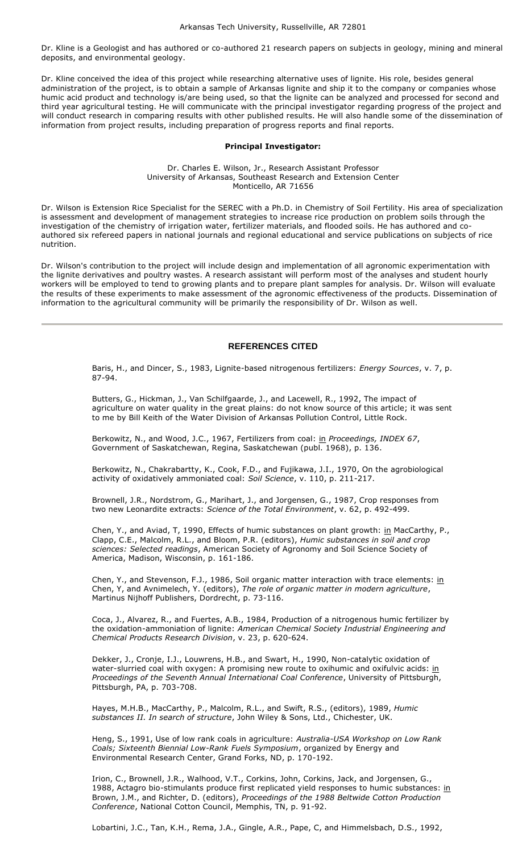Dr. Kline is a Geologist and has authored or co-authored 21 research papers on subjects in geology, mining and mineral deposits, and environmental geology.

Dr. Kline conceived the idea of this project while researching alternative uses of lignite. His role, besides general administration of the project, is to obtain a sample of Arkansas lignite and ship it to the company or companies whose humic acid product and technology is/are being used, so that the lignite can be analyzed and processed for second and third year agricultural testing. He will communicate with the principal investigator regarding progress of the project and will conduct research in comparing results with other published results. He will also handle some of the dissemination of information from project results, including preparation of progress reports and final reports.

#### **Principal Investigator:**

#### Dr. Charles E. Wilson, Jr., Research Assistant Professor University of Arkansas, Southeast Research and Extension Center Monticello, AR 71656

Dr. Wilson is Extension Rice Specialist for the SEREC with a Ph.D. in Chemistry of Soil Fertility. His area of specialization is assessment and development of management strategies to increase rice production on problem soils through the investigation of the chemistry of irrigation water, fertilizer materials, and flooded soils. He has authored and coauthored six refereed papers in national journals and regional educational and service publications on subjects of rice nutrition.

Dr. Wilson's contribution to the project will include design and implementation of all agronomic experimentation with the lignite derivatives and poultry wastes. A research assistant will perform most of the analyses and student hourly workers will be employed to tend to growing plants and to prepare plant samples for analysis. Dr. Wilson will evaluate the results of these experiments to make assessment of the agronomic effectiveness of the products. Dissemination of information to the agricultural community will be primarily the responsibility of Dr. Wilson as well.

### **REFERENCES CITED**

Baris, H., and Dincer, S., 1983, Lignite-based nitrogenous fertilizers: *Energy Sources*, v. 7, p. 87-94.

Butters, G., Hickman, J., Van Schilfgaarde, J., and Lacewell, R., 1992, The impact of agriculture on water quality in the great plains: do not know source of this article; it was sent to me by Bill Keith of the Water Division of Arkansas Pollution Control, Little Rock.

Berkowitz, N., and Wood, J.C., 1967, Fertilizers from coal: in *Proceedings, INDEX 67*, Government of Saskatchewan, Regina, Saskatchewan (publ. 1968), p. 136.

Berkowitz, N., Chakrabartty, K., Cook, F.D., and Fujikawa, J.I., 1970, On the agrobiological activity of oxidatively ammoniated coal: *Soil Science*, v. 110, p. 211-217.

Brownell, J.R., Nordstrom, G., Marihart, J., and Jorgensen, G., 1987, Crop responses from two new Leonardite extracts: *Science of the Total Environment*, v. 62, p. 492-499.

Chen, Y., and Aviad, T, 1990, Effects of humic substances on plant growth: in MacCarthy, P., Clapp, C.E., Malcolm, R.L., and Bloom, P.R. (editors), *Humic substances in soil and crop sciences: Selected readings*, American Society of Agronomy and Soil Science Society of America, Madison, Wisconsin, p. 161-186.

Chen, Y., and Stevenson, F.J., 1986, Soil organic matter interaction with trace elements: in Chen, Y, and Avnimelech, Y. (editors), *The role of organic matter in modern agriculture*, Martinus Nijhoff Publishers, Dordrecht, p. 73-116.

Coca, J., Alvarez, R., and Fuertes, A.B., 1984, Production of a nitrogenous humic fertilizer by the oxidation-ammoniation of lignite: *American Chemical Society Industrial Engineering and Chemical Products Research Division*, v. 23, p. 620-624.

Dekker, J., Cronje, I.J., Louwrens, H.B., and Swart, H., 1990, Non-catalytic oxidation of water-slurried coal with oxygen: A promising new route to oxihumic and oxifulvic acids: in *Proceedings of the Seventh Annual International Coal Conference*, University of Pittsburgh, Pittsburgh, PA, p. 703-708.

Hayes, M.H.B., MacCarthy, P., Malcolm, R.L., and Swift, R.S., (editors), 1989, *Humic substances II. In search of structure*, John Wiley & Sons, Ltd., Chichester, UK.

Heng, S., 1991, Use of low rank coals in agriculture: *Australia-USA Workshop on Low Rank Coals; Sixteenth Biennial Low-Rank Fuels Symposium*, organized by Energy and Environmental Research Center, Grand Forks, ND, p. 170-192.

Irion, C., Brownell, J.R., Walhood, V.T., Corkins, John, Corkins, Jack, and Jorgensen, G., 1988, Actagro bio-stimulants produce first replicated yield responses to humic substances: in Brown, J.M., and Richter, D. (editors), *Proceedings of the 1988 Beltwide Cotton Production Conference*, National Cotton Council, Memphis, TN, p. 91-92.

Lobartini, J.C., Tan, K.H., Rema, J.A., Gingle, A.R., Pape, C, and Himmelsbach, D.S., 1992,